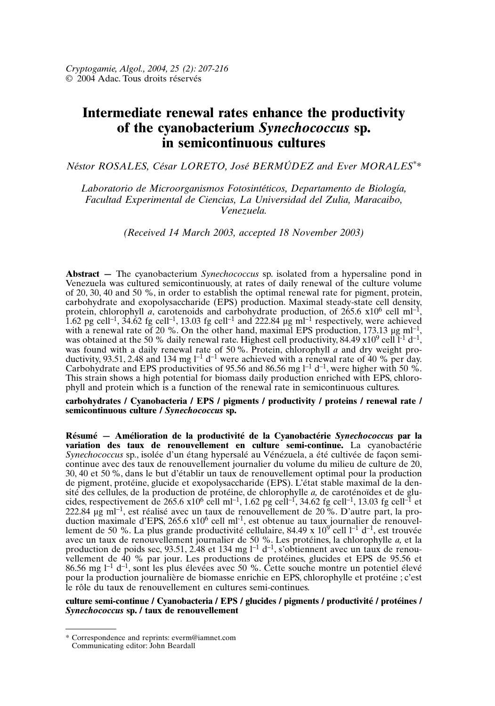# **Intermediate renewal rates enhance the productivity of the cyanobacterium** *Synechococcus* **sp. in semicontinuous cultures**

*Néstor ROSALES, César LORETO, José BERMÚDEZ and Ever MORALES\*\**

*Laboratorio de Microorganismos Fotosintéticos, Departamento de Biología, Facultad Experimental de Ciencias, La Universidad del Zulia, Maracaibo, Venezuela.*

*(Received 14 March 2003, accepted 18 November 2003)*

**Abstract —** The cyanobacterium *Synechococcus* sp. isolated from a hypersaline pond in Venezuela was cultured semicontinuously, at rates of daily renewal of the culture volume of 20, 30, 40 and 50 %, in order to establish the optimal renewal rate for pigment, protein, carbohydrate and exopolysaccharide (EPS) production. Maximal steady-state cell density, protein, chlorophyll *a*, carotenoids and carbohydrate production, of  $265.6 \times 10^6$  cell ml<sup>-1</sup>, 1.62 pg cell<sup>-1</sup>,  $34.62$  fg cell<sup>-1</sup>, 13.03 fg cell<sup>-1</sup> and 222.84  $\mu$ g ml<sup>-1</sup> respectively, were achieved with a renewal rate of 20 %. On the other hand, maximal EPS production, 173.13  $\mu$ g ml<sup>-1</sup>, was obtained at the 50 % daily renewal rate. Highest cell productivity, 84.49  $x10^9$  cell  $1^1$  d<sup>-1</sup>, was found with a daily renewal rate of 50 %. Protein, chlorophyll *a* and dry weight productivity, 93.51, 2.48 and 134 mg  $l^{-1}$  d<sup>-1</sup> were achieved with a renewal rate of 40 % per day. Carbohydrate and EPS productivities of 95.56 and 86.56 mg  $l^{-1}$  d<sup>-1</sup>, were higher with 50 %. This strain shows a high potential for biomass daily production enriched with EPS, chlorophyll and protein which is a function of the renewal rate in semicontinuous cultures.

**carbohydrates / Cyanobacteria / EPS / pigments / productivity / proteins / renewal rate / semicontinuous culture /** *Synechococcus* **sp.**

**Résumé — Amélioration de la productivité de la Cyanobactérie** *Synechococcus* **par la variation des taux de renouvellement en culture semi-continue.** La cyanobactérie *Synechococcus* sp., isolée d'un étang hypersalé au Vénézuela, a été cultivée de façon semicontinue avec des taux de renouvellement journalier du volume du milieu de culture de 20, 30, 40 et 50 %, dans le but d'établir un taux de renouvellement optimal pour la production de pigment, protéine, glucide et exopolysaccharide (EPS). L'état stable maximal de la densité des cellules, de la production de protéine, de chlorophylle *a,* de caroténoïdes et de glucides, respectivement de 265.6 x10<sup>6</sup> cell ml<sup>-1</sup>, 1.62 pg cell<sup>-1</sup>, 34.62 fg cell<sup>-1</sup>, 13.03 fg cell<sup>-1</sup> et 222.84 µg ml–1, est réalisé avec un taux de renouvellement de 20 %. D'autre part, la production maximale d'EPS, 265.6 x10<sup>6</sup> cell ml<sup>-1</sup>, est obtenue au taux journalier de renouvellement de 50 %. La plus grande productivité cellulaire, 84.49 x  $10^{9}$  cell  $1^{-1}$  d<sup>-1</sup>, est trouvée avec un taux de renouvellement journalier de 50 %. Les protéines, la chlorophylle *a,* et la production de poids sec, 93.51, 2.48 et 134 mg  $1^{-1}$  d<sup>-1</sup>, s'obtiennent avec un taux de renouvellement de 40 % par jour. Les productions de protéines, glucides et EPS de 95.56 et 86.56 mg  $l^{-1}$  d<sup>-1</sup>, sont les plus élevées avec 50 %. Cette souche montre un potentiel élevé pour la production journalière de biomasse enrichie en EPS, chlorophylle et protéine ; c'est le rôle du taux de renouvellement en cultures semi-continues.

**culture semi-continue / Cyanobacteria / EPS / glucides / pigments / productivité / protéines /** *Synechococcus* **sp. / taux de renouvellement**

<sup>\*</sup> Correspondence and reprints: everm@iamnet.com Communicating editor: John Beardall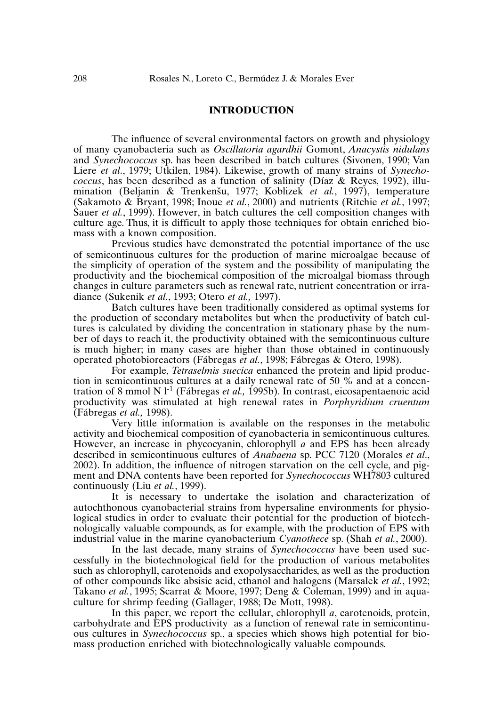## **INTRODUCTION**

The influence of several environmental factors on growth and physiology of many cyanobacteria such as *Oscillatoria agardhii* Gomont, *Anacystis nidulans* and *Synechococcus* sp. has been described in batch cultures (Sivonen, 1990; Van Liere *et al*., 1979; Utkilen, 1984). Likewise, growth of many strains of *Synechococcus*, has been described as a function of salinity (Díaz & Reyes, 1992), illuroccus, has been described as a function of sainity (Diaz & Reyes, 1992), ind-<br>mination (Beljanin & Trenkenšu, 1977; Koblizek *et al.*, 1997), temperature (Sakamoto & Bryant, 1998; Inoue *et al.*, 2000) and nutrients (Ritchie *et al.*, 1997; Sauer *et al.*, 1999). However, in batch cultures the cell composition changes with culture age. Thus, it is difficult to apply those techniques for obtain enriched biomass with a known composition.

Previous studies have demonstrated the potential importance of the use of semicontinuous cultures for the production of marine microalgae because of the simplicity of operation of the system and the possibility of manipulating the productivity and the biochemical composition of the microalgal biomass through changes in culture parameters such as renewal rate, nutrient concentration or irradiance (Sukenik *et al.*, 1993; Otero *et al.,* 1997).

Batch cultures have been traditionally considered as optimal systems for the production of secondary metabolites but when the productivity of batch cultures is calculated by dividing the concentration in stationary phase by the number of days to reach it, the productivity obtained with the semicontinuous culture is much higher; in many cases are higher than those obtained in continuously operated photobioreactors (Fábregas *et al.*, 1998; Fábregas & Otero, 1998).

For example, *Tetraselmis suecica* enhanced the protein and lipid production in semicontinuous cultures at a daily renewal rate of 50 % and at a concentration of 8 mmol N l-1 (Fábregas *et al.,* 1995b). In contrast, eicosapentaenoic acid productivity was stimulated at high renewal rates in *Porphyridium cruentum* (Fábregas *et al.,* 1998).

Very little information is available on the responses in the metabolic activity and biochemical composition of cyanobacteria in semicontinuous cultures. However, an increase in phycocyanin, chlorophyll *a* and EPS has been already described in semicontinuous cultures of *Anabaena* sp. PCC 7120 (Morales *et al*., 2002). In addition, the influence of nitrogen starvation on the cell cycle, and pigment and DNA contents have been reported for *Synechococcus* WH7803 cultured continuously (Liu *et al.*, 1999).

It is necessary to undertake the isolation and characterization of autochthonous cyanobacterial strains from hypersaline environments for physiological studies in order to evaluate their potential for the production of biotechnologically valuable compounds, as for example, with the production of EPS with industrial value in the marine cyanobacterium *Cyanothece* sp. (Shah *et al.*, 2000).

In the last decade, many strains of *Synechococcus* have been used successfully in the biotechnological field for the production of various metabolites such as chlorophyll, carotenoids and exopolysaccharides, as well as the production of other compounds like absisic acid, ethanol and halogens (Marsalek *et al.*, 1992; Takano *et al.*, 1995; Scarrat & Moore, 1997; Deng & Coleman, 1999) and in aquaculture for shrimp feeding (Gallager, 1988; De Mott, 1998).

In this paper, we report the cellular, chlorophyll *a*, carotenoids, protein, carbohydrate and EPS productivity as a function of renewal rate in semicontinuous cultures in *Synechococcus* sp., a species which shows high potential for biomass production enriched with biotechnologically valuable compounds.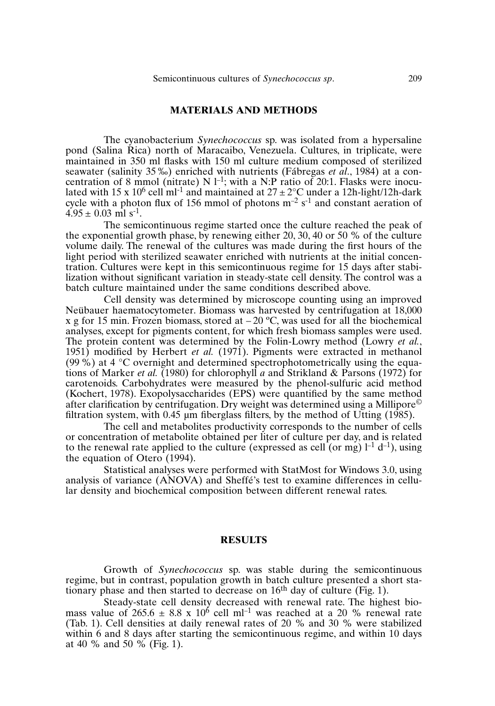# **MATERIALS AND METHODS**

The cyanobacterium *Synechococcus* sp. was isolated from a hypersaline pond (Salina Rica) north of Maracaibo, Venezuela. Cultures, in triplicate, were maintained in 350 ml flasks with 150 ml culture medium composed of sterilized seawater (salinity 35 ‰) enriched with nutrients (Fábregas *et al*., 1984) at a concentration of 8 mmol (nitrate) N  $l^{-1}$ ; with a N:P ratio of 20:1. Flasks were inoculated with 15 x 10<sup>6</sup> cell m<sup>1-1</sup> and maintained at  $27 \pm 2$ °C under a 12h-light/12h-dark cycle with a photon flux of 156 mmol of photons  $m^{-2}$  s<sup>-1</sup> and constant aeration of  $4.95 \pm 0.03$  ml s<sup>-1</sup>.

The semicontinuous regime started once the culture reached the peak of the exponential growth phase, by renewing either 20, 30, 40 or 50 % of the culture volume daily. The renewal of the cultures was made during the first hours of the light period with sterilized seawater enriched with nutrients at the initial concentration. Cultures were kept in this semicontinuous regime for 15 days after stabilization without significant variation in steady-state cell density. The control was a batch culture maintained under the same conditions described above.

Cell density was determined by microscope counting using an improved Neübauer haematocytometer. Biomass was harvested by centrifugation at 18,000 x g for 15 min. Frozen biomass, stored at  $-20$  °C, was used for all the biochemical analyses, except for pigments content, for which fresh biomass samples were used. The protein content was determined by the Folin-Lowry method (Lowry *et al.*, 1951) modified by Herbert *et al.* (1971). Pigments were extracted in methanol (99 %) at 4  $\degree$ C overnight and determined spectrophotometrically using the equations of Marker *et al.* (1980) for chlorophyll *a* and Strikland & Parsons (1972) for carotenoids. Carbohydrates were measured by the phenol-sulfuric acid method (Kochert, 1978). Exopolysaccharides (EPS) were quantified by the same method after clarification by centrifugation. Dry weight was determined using a Millipore<sup> $\odot$ </sup> filtration system, with  $0.45 \mu m$  fiberglass filters, by the method of Utting (1985).

The cell and metabolites productivity corresponds to the number of cells or concentration of metabolite obtained per liter of culture per day, and is related to the renewal rate applied to the culture (expressed as cell (or mg)  $l^{-1}$  d<sup>-1</sup>), using the equation of Otero (1994).

Statistical analyses were performed with StatMost for Windows 3.0, using analysis of variance (ANOVA) and Sheffé's test to examine differences in cellular density and biochemical composition between different renewal rates.

### **RESULTS**

Growth of *Synechococcus* sp. was stable during the semicontinuous regime, but in contrast, population growth in batch culture presented a short stationary phase and then started to decrease on  $16<sup>th</sup>$  day of culture (Fig. 1).

Steady-state cell density decreased with renewal rate. The highest biomass value of  $265.6 \pm 8.8 \times 10^6$  cell ml<sup>-1</sup> was reached at a 20 % renewal rate (Tab. 1). Cell densities at daily renewal rates of 20 % and 30 % were stabilized within 6 and 8 days after starting the semicontinuous regime, and within 10 days at 40 % and 50 % (Fig. 1).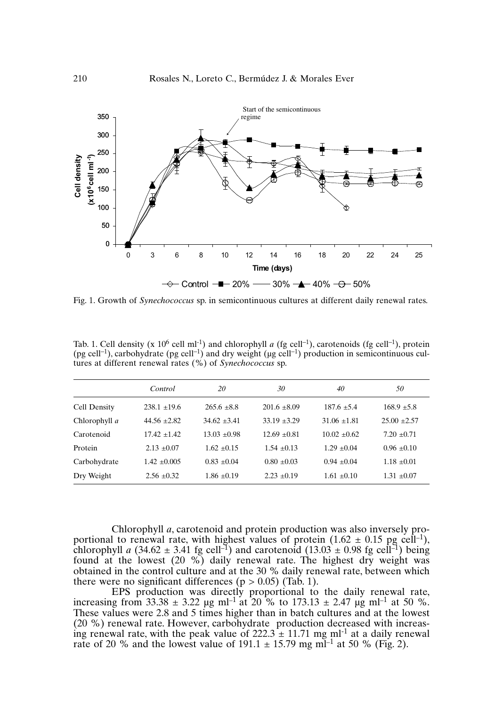

Fig. 1. Growth of *Synechococcus* sp. in semicontinuous cultures at different daily renewal rates.

|               | Control        | 20             | 30             | 40             | 50             |
|---------------|----------------|----------------|----------------|----------------|----------------|
| Cell Density  | $238.1 + 19.6$ | $265.6 + 8.8$  | $201.6 + 8.09$ | $187.6 + 5.4$  | $168.9 + 5.8$  |
| Chlorophyll a | $44.56 + 2.82$ | $34.62 + 3.41$ | $33.19 + 3.29$ | $31.06 + 1.81$ | $25.00 + 2.57$ |
| Carotenoid    | $17.42 + 1.42$ | $13.03 + 0.98$ | $12.69 + 0.81$ | $10.02 + 0.62$ | $7.20 + 0.71$  |
| Protein       | $2.13 + 0.07$  | $1.62 + 0.15$  | $1.54 + 0.13$  | $1.29 + 0.04$  | $0.96 + 0.10$  |
| Carbohydrate  | $1.42 + 0.005$ | $0.83 + 0.04$  | $0.80 + 0.03$  | $0.94 + 0.04$  | $1.18 + 0.01$  |
| Dry Weight    | $2.56 + 0.32$  | $1.86 + 0.19$  | $2.23 + 0.19$  | $1.61 + 0.10$  | $1.31 + 0.07$  |

Tab. 1. Cell density (x  $10^6$  cell ml<sup>-1</sup>) and chlorophyll *a* (fg cell<sup>-1</sup>), carotenoids (fg cell<sup>-1</sup>), protein (pg cell<sup>-1</sup>), carbohydrate (pg cell<sup>-1</sup>) and dry weight ( $\mu$ g cell<sup>-1</sup>) production in semicontinuous cultures at different renewal rates (%) of *Synechococcus* sp.

Chlorophyll *a*, carotenoid and protein production was also inversely proportional to renewal rate, with highest values of protein  $(1.62 \pm 0.15 \text{ pg cell}^{-1})$ , chlorophyll *a*  $(34.62 \pm 3.41 \text{ fg cell}^{-1})$  and carotenoid  $(13.03 \pm 0.98 \text{ fg cell}^{-1})$  being found at the lowest (20 %) daily renewal rate. The highest dry weight was obtained in the control culture and at the 30 % daily renewal rate, between which there were no significant differences ( $p > 0.05$ ) (Tab. 1).

EPS production was directly proportional to the daily renewal rate, increasing from 33.38  $\pm$  3.22 µg ml<sup>-1</sup> at 20 % to 173.13  $\pm$  2.47 µg ml<sup>-1</sup> at 50 %. These values were 2.8 and 5 times higher than in batch cultures and at the lowest (20 %) renewal rate. However, carbohydrate production decreased with increasing renewal rate, with the peak value of  $222.3 \pm 11.71$  mg ml<sup>-1</sup> at a daily renewal rate of 20 % and the lowest value of 191.1  $\pm$  15.79 mg mI<sup>-1</sup> at 50 % (Fig. 2).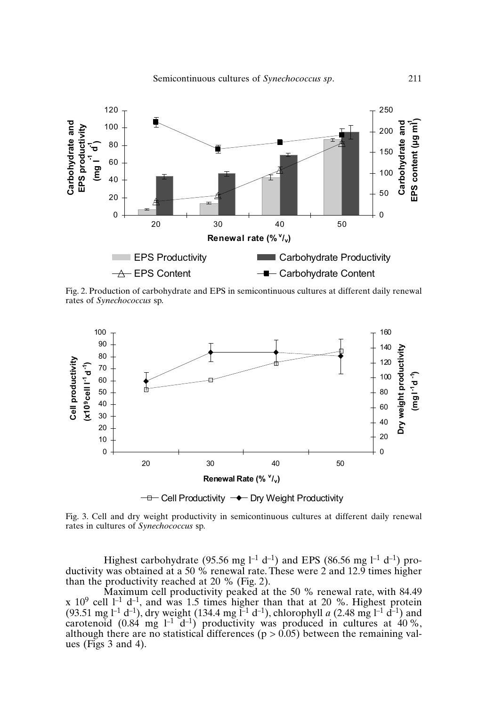

Fig. 2. Production of carbohydrate and EPS in semicontinuous cultures at different daily renewal rates of *Synechococcus* sp.



Fig. 3. Cell and dry weight productivity in semicontinuous cultures at different daily renewal rates in cultures of *Synechococcus* sp.

Highest carbohydrate (95.56 mg  $l^{-1}$  d<sup>-1</sup>) and EPS (86.56 mg  $l^{-1}$  d<sup>-1</sup>) productivity was obtained at a 50 % renewal rate. These were 2 and 12.9 times higher than the productivity reached at 20 % (Fig. 2).

Maximum cell productivity peaked at the 50 % renewal rate, with 84.49 x  $10^9$  cell  $1^{-1}$  d<sup>-1</sup>, and was 1.5 times higher than that at 20 %. Highest protein (93.51 mg l<sup>-1</sup> d<sup>-1</sup>), dry weight (134.4 mg l<sup>-1</sup> d<sup>-1</sup>), chlorophyll *a* (2.48 mg l<sup>-1</sup> d<sup>-1</sup>) and carotenoid (0.84 mg  $l^{-1}$  d<sup>-1</sup>) productivity was produced in cultures at 40%, although there are no statistical differences  $(p > 0.05)$  between the remaining values (Figs 3 and 4).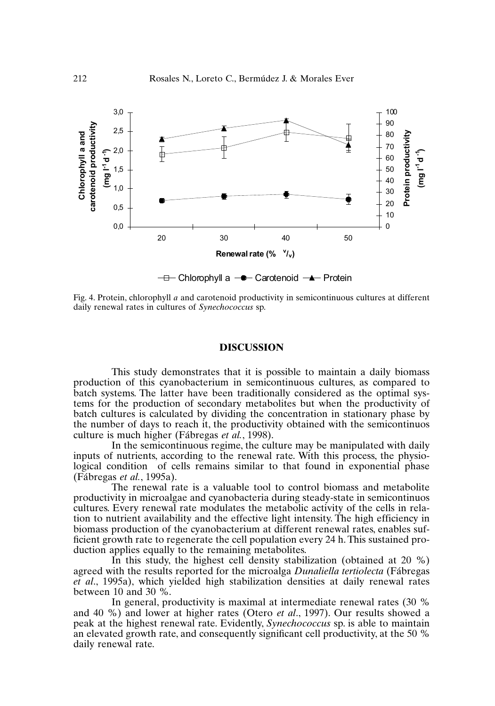

Fig. 4. Protein, chlorophyll *a* and carotenoid productivity in semicontinuous cultures at different daily renewal rates in cultures of *Synechococcus* sp.

#### **DISCUSSION**

This study demonstrates that it is possible to maintain a daily biomass production of this cyanobacterium in semicontinuous cultures, as compared to batch systems. The latter have been traditionally considered as the optimal systems for the production of secondary metabolites but when the productivity of batch cultures is calculated by dividing the concentration in stationary phase by the number of days to reach it, the productivity obtained with the semicontinuos culture is much higher (Fábregas *et al.*, 1998).

In the semicontinuous regime, the culture may be manipulated with daily inputs of nutrients, according to the renewal rate. With this process, the physiological condition of cells remains similar to that found in exponential phase (Fábregas *et al.*, 1995a).

The renewal rate is a valuable tool to control biomass and metabolite productivity in microalgae and cyanobacteria during steady-state in semicontinuos cultures. Every renewal rate modulates the metabolic activity of the cells in relation to nutrient availability and the effective light intensity. The high efficiency in biomass production of the cyanobacterium at different renewal rates, enables sufficient growth rate to regenerate the cell population every 24 h. This sustained production applies equally to the remaining metabolites.

In this study, the highest cell density stabilization (obtained at 20 %) agreed with the results reported for the microalga *Dunaliella tertiolecta* (Fábregas *et al*., 1995a), which yielded high stabilization densities at daily renewal rates between 10 and 30 %.

In general, productivity is maximal at intermediate renewal rates (30 % and 40 %) and lower at higher rates (Otero *et al*., 1997). Our results showed a peak at the highest renewal rate. Evidently, *Synechococcus* sp. is able to maintain an elevated growth rate, and consequently significant cell productivity, at the 50 % daily renewal rate.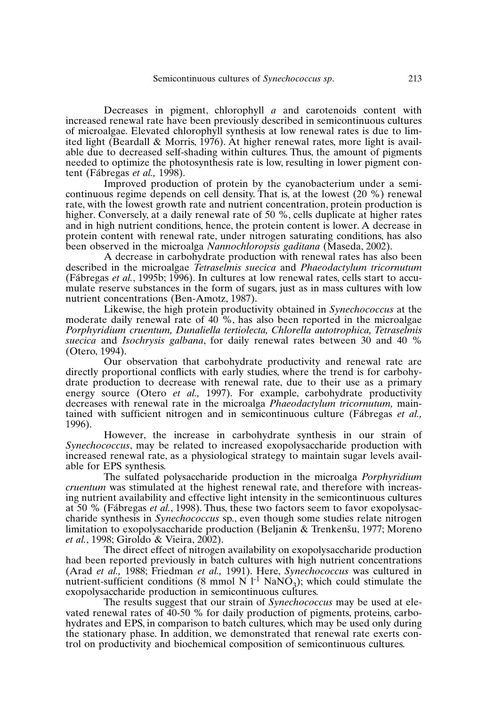Decreases in pigment, chlorophyll *a* and carotenoids content with increased renewal rate have been previously described in semicontinuous cultures of microalgae. Elevated chlorophyll synthesis at low renewal rates is due to limited light (Beardall & Morris, 1976). At higher renewal rates, more light is available due to decreased self-shading within cultures. Thus, the amount of pigments needed to optimize the photosynthesis rate is low, resulting in lower pigment content (Fábregas *et al.,* 1998).

Improved production of protein by the cyanobacterium under a semicontinuous regime depends on cell density. That is, at the lowest (20 %) renewal rate, with the lowest growth rate and nutrient concentration, protein production is higher. Conversely, at a daily renewal rate of 50 %, cells duplicate at higher rates and in high nutrient conditions, hence, the protein content is lower. A decrease in protein content with renewal rate, under nitrogen saturating conditions, has also been observed in the microalga *Nannochloropsis gaditana* (Maseda, 2002).

A decrease in carbohydrate production with renewal rates has also been described in the microalgae *Tetraselmis suecica* and *Phaeodactylum tricornutum* (Fábregas *et al.*, 1995b; 1996). In cultures at low renewal rates, cells start to accumulate reserve substances in the form of sugars, just as in mass cultures with low nutrient concentrations (Ben-Amotz, 1987).

Likewise, the high protein productivity obtained in *Synechococcus* at the moderate daily renewal rate of 40 %, has also been reported in the microalgae *Porphyridium cruentum, Dunaliella tertiolecta, Chlorella autotrophica, Tetraselmis suecica* and *Isochrysis galbana*, for daily renewal rates between 30 and 40 % (Otero, 1994).

Our observation that carbohydrate productivity and renewal rate are directly proportional conflicts with early studies, where the trend is for carbohydrate production to decrease with renewal rate, due to their use as a primary energy source (Otero *et al.,* 1997). For example, carbohydrate productivity decreases with renewal rate in the microalga *Phaeodactylum tricornutum,* maintained with sufficient nitrogen and in semicontinuous culture (Fábregas *et al.,* 1996).

However, the increase in carbohydrate synthesis in our strain of *Synechococcus*, may be related to increased exopolysaccharide production with increased renewal rate, as a physiological strategy to maintain sugar levels available for EPS synthesis.

The sulfated polysaccharide production in the microalga *Porphyridium cruentum* was stimulated at the highest renewal rate, and therefore with increasing nutrient availability and effective light intensity in the semicontinuous cultures at 50 % (Fábregas *et al.*, 1998). Thus, these two factors seem to favor exopolysaccharide synthesis in *Synechococcus* sp., even though some studies relate nitrogen charide synthesis in *synechococcus* sp., even though some studies relate hitrogen<br>limitation to exopolysaccharide production (Beljanin & Trenkenšu, 1977; Moreno *et al.*, 1998; Giroldo & Vieira, 2002).

The direct effect of nitrogen availability on exopolysaccharide production had been reported previously in batch cultures with high nutrient concentrations (Arad *et al.,* 1988; Friedman *et al.,* 1991). Here, *Synechococcus* was cultured in nutrient-sufficient conditions (8 mmol N  $1^{-1}$  NaNO<sub>3</sub>); which could stimulate the exopolysaccharide production in semicontinuous cultures.

The results suggest that our strain of *Synechococcus* may be used at elevated renewal rates of 40-50 % for daily production of pigments, proteins, carbohydrates and EPS, in comparison to batch cultures, which may be used only during the stationary phase. In addition, we demonstrated that renewal rate exerts control on productivity and biochemical composition of semicontinuous cultures.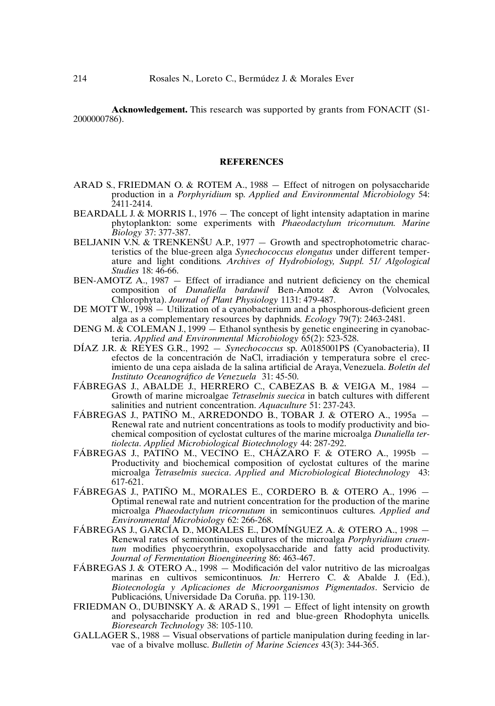**Acknowledgement.** This research was supported by grants from FONACIT (S1- 2000000786).

#### **REFERENCES**

- ARAD S., FRIEDMAN O. & ROTEM A., 1988 Effect of nitrogen on polysaccharide production in a *Porphyridium* sp. *Applied and Environmental Microbiology* 54: 2411-2414.
- BEARDALL J. & MORRIS I., 1976 The concept of light intensity adaptation in marine phytoplankton: some experiments with *Phaeodactylum tricornutum. Marine Biology* 37: 377-387.
- BIOLOGY 31: 311-381.<br>BELJANIN V.N. & TRENKENŠU A.P., 1977 Growth and spectrophotometric characteristics of the blue-green alga *Synechococcus elongatus* under different temperature and light conditions. *Archives of Hydrobiology, Suppl. 51/ Algological Studies* 18: 46-66.
- BEN-AMOTZ A., 1987 Effect of irradiance and nutrient deficiency on the chemical composition of *Dunaliella bardawil* Ben-Amotz & Avron (Volvocales, Chlorophyta). *Journal of Plant Physiology* 1131: 479-487.
- DE MOTT W.,  $1998 -$  Utilization of a cyanobacterium and a phosphorous-deficient green alga as a complementary resources by daphnids. *Ecology* 79(7): 2463-2481.
- DENG M.  $\&$  COLEMAN J., 1999  $-$  Ethanol synthesis by genetic engineering in cyanobacteria. *Applied and Environmental Microbiology* 65(2): 523-528.
- DÍAZ J.R. & REYES G.R., 1992 *Synechococcus* sp. A0185001PS (Cyanobacteria), II efectos de la concentración de NaCl, irradiación y temperatura sobre el crecimiento de una cepa aislada de la salina artificial de Araya, Venezuela. *Boletín del Instituto Oceanográfico de Venezuela* 31: 45-50.
- FÁBREGAS J., ABALDE J., HERRERO C., CABEZAS B. & VEIGA M., 1984 Growth of marine microalgae *Tetraselmis suecica* in batch cultures with different salinities and nutrient concentration. *Aquaculture* 51: 237-243.
- FÁBREGAS J., PATIÑO M., ARREDONDO B., TOBAR J. & OTERO A., 1995a Renewal rate and nutrient concentrations as tools to modify productivity and biochemical composition of cyclostat cultures of the marine microalga *Dunaliella tertiolecta*. *Applied Microbiological Biotechnology* 44: 287-292.
- FÁBREGAS J., PATIÑO M., VECINO E., CHÁZARO F. & OTERO A., 1995b Productivity and biochemical composition of cyclostat cultures of the marine microalga *Tetraselmis suecica*. *Applied and Microbiological Biotechnology* 43: 617-621.
- FÁBREGAS J., PATIÑO M., MORALES E., CORDERO B. & OTERO A., 1996 Optimal renewal rate and nutrient concentration for the production of the marine microalga *Phaeodactylum tricornutum* in semicontinuos cultures. *Applied and Environmental Microbiology* 62: 266-268.
- FÁBREGAS J., GARCÍA D., MORALES E., DOMÍNGUEZ A. & OTERO A., 1998 Renewal rates of semicontinuous cultures of the microalga *Porphyridium cruentum* modifies phycoerythrin, exopolysaccharide and fatty acid productivity. *Journal of Fermentation Bioengineering* 86: 463-467.
- FÁBREGAS J. & OTERO A., 1998 Modificación del valor nutritivo de las microalgas marinas en cultivos semicontinuos. *In:* Herrero C. & Abalde J. (Ed.), *Biotecnología y Aplicaciones de Microorganismos Pigmentados*. Servicio de Publicacións, Universidade Da Coruña. pp. 119-130.
- FRIEDMAN O., DUBINSKY A. & ARAD S.,  $1991 -$  Effect of light intensity on growth and polysaccharide production in red and blue-green Rhodophyta unicells. *Bioresearch Technology* 38: 105-110.
- GALLAGER S., 1988 Visual observations of particle manipulation during feeding in larvae of a bivalve mollusc. *Bulletin of Marine Sciences* 43(3): 344-365.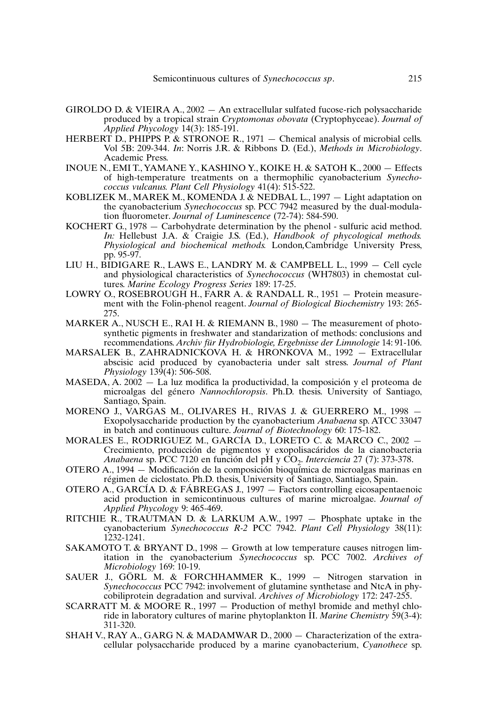- GIROLDO D. & VIEIRA A., 2002 An extracellular sulfated fucose-rich polysaccharide produced by a tropical strain *Cryptomonas obovata* (Cryptophyceae). *Journal of Applied Phycology* 14(3): 185-191.
- HERBERT D., PHIPPS P. & STRONOE R., 1971 Chemical analysis of microbial cells. Vol 5B: 209-344. *In*: Norris J.R. & Ribbons D. (Ed.), *Methods in Microbiology*. Academic Press.
- INOUE N., EMI T., YAMANE Y., KASHINO Y., KOIKE H. & SATOH K., 2000 Effects of high-temperature treatments on a thermophilic cyanobacterium *Synechococcus vulcanus. Plant Cell Physiology* 41(4): 515-522.
- KOBLIZEK M., MAREK M., KOMENDA J. & NEDBAL L., 1997 Light adaptation on the cyanobacterium *Synechococcus* sp. PCC 7942 measured by the dual-modulation fluorometer. *Journal of Luminescence* (72-74): 584-590.
- KOCHERT G., 1978 Carbohydrate determination by the phenol sulfuric acid method. *In:* Hellebust J.A. & Craigie J.S. (Ed.), *Handbook of phycological methods. Physiological and biochemical methods.* London*,*Cambridge University Press, pp. 95-97.
- LIU H., BIDIGARE R., LAWS E., LANDRY M. & CAMPBELL L., 1999 Cell cycle and physiological characteristics of *Synechococcus* (WH7803) in chemostat cultures. *Marine Ecology Progress Series* 189: 17-25.
- LOWRY O., ROSEBROUGH H., FARR A. & RANDALL R., 1951 Protein measurement with the Folin-phenol reagent. *Journal of Biological Biochemistry* 193: 265- 275.
- MARKER A., NUSCH E., RAI H. & RIEMANN B., 1980  $-$  The measurement of photosynthetic pigments in freshwater and standarization of methods: conclusions and recommendations. *Archiv für Hydrobiologie, Ergebnisse der Limnologie* 14: 91-106.
- MARSALEK B., ZAHRADNICKOVA H. & HRONKOVA M., 1992 Extracellular abscisic acid produced by cyanobacteria under salt stress. *Journal of Plant Physiology* 139(4): 506-508.
- MASEDA, A. 2002 La luz modifica la productividad, la composición y el proteoma de microalgas del género *Nannochloropsis*. Ph.D. thesis. University of Santiago, Santiago, Spain.
- MORENO J., VARGAS M., OLIVARES H., RIVAS J. & GUERRERO M., 1998 Exopolysaccharide production by the cyanobacterium *Anabaena* sp. ATCC 33047 in batch and continuous culture. *Journal of Biotechnology* 60: 175-182.
- MORALES E., RODRIGUEZ M., GARCÍA D., LORETO C. & MARCO C., 2002 Crecimiento, producción de pigmentos y exopolisacáridos de la cianobacteria *Anabaena* sp. PCC 7120 en función del pH y CO<sub>2</sub>. *Interciencia* 27 (7): 373-378.
- OTERO A., 1994 Modificación de la composición bioquímica de microalgas marinas en régimen de ciclostato. Ph.D. thesis, University of Santiago, Santiago, Spain.
- OTERO A., GARCÍA D. & FÁBREGAS J., 1997 Factors controlling eicosapentaenoic acid production in semicontinuous cultures of marine microalgae. *Journal of Applied Phycology* 9: 465-469.
- RITCHIE R., TRAUTMAN D. & LARKUM A.W., 1997 Phosphate uptake in the cyanobacterium *Synechococcus R-2* PCC 7942. *Plant Cell Physiology* 38(11): 1232-1241.
- SAKAMOTO T. & BRYANT D., 1998 Growth at low temperature causes nitrogen limitation in the cyanobacterium *Synechococcus* sp. PCC 7002. *Archives of Microbiology* 169: 10-19.
- SAUER J., GÖRL M. & FORCHHAMMER K., 1999 Nitrogen starvation in *Synechococcus* PCC 7942: involvement of glutamine synthetase and NtcA in phycobiliprotein degradation and survival. *Archives of Microbiology* 172: 247-255.
- SCARRATT M. & MOORE R., 1997 Production of methyl bromide and methyl chloride in laboratory cultures of marine phytoplankton II. *Marine Chemistry* 59(3-4): 311-320.
- SHAH V., RAY A., GARG N. & MADAMWAR D., 2000 Characterization of the extracellular polysaccharide produced by a marine cyanobacterium, *Cyanothece* sp.